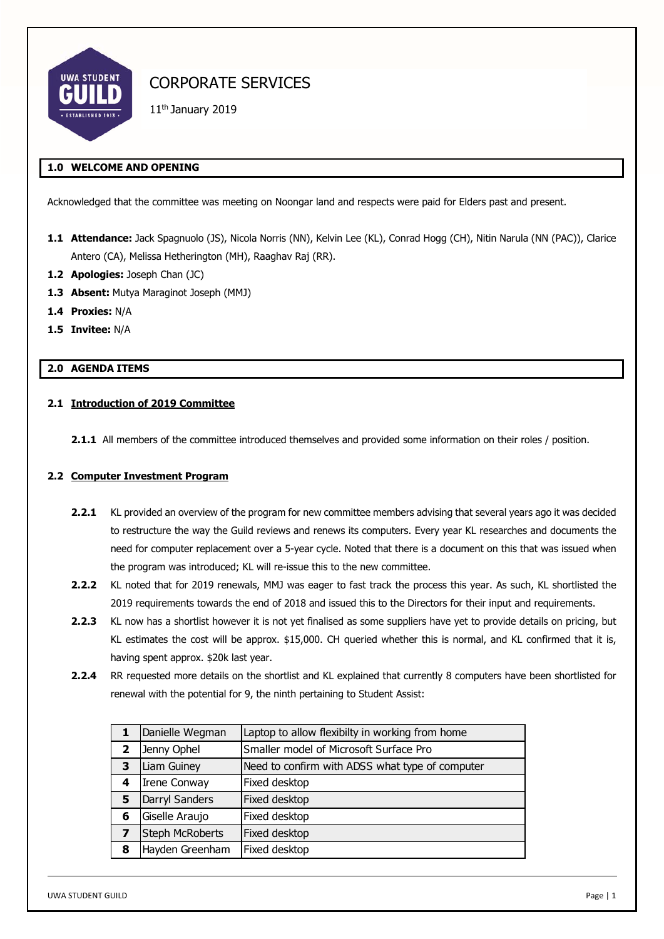

11th January 2019

# **1.0 WELCOME AND OPENING**

Acknowledged that the committee was meeting on Noongar land and respects were paid for Elders past and present.

- **1.1 Attendance:** Jack Spagnuolo (JS), Nicola Norris (NN), Kelvin Lee (KL), Conrad Hogg (CH), Nitin Narula (NN (PAC)), Clarice Antero (CA), Melissa Hetherington (MH), Raaghav Raj (RR).
- **1.2 Apologies:** Joseph Chan (JC)
- 1.3 **Absent:** Mutya Maraginot Joseph (MMJ)
- **1.4 Proxies:** N/A
- **1.5 Invitee:** N/A

# **2.0 AGENDA ITEMS**

#### **2.1 Introduction of 2019 Committee**

**2.1.1** All members of the committee introduced themselves and provided some information on their roles / position.

## **2.2 Computer Investment Program**

- **2.2.1** KL provided an overview of the program for new committee members advising that several years ago it was decided to restructure the way the Guild reviews and renews its computers. Every year KL researches and documents the need for computer replacement over a 5-year cycle. Noted that there is a document on this that was issued when the program was introduced; KL will re-issue this to the new committee.
- **2.2.2** KL noted that for 2019 renewals, MMJ was eager to fast track the process this year. As such, KL shortlisted the 2019 requirements towards the end of 2018 and issued this to the Directors for their input and requirements.
- **2.2.3** KL now has a shortlist however it is not yet finalised as some suppliers have yet to provide details on pricing, but KL estimates the cost will be approx. \$15,000. CH queried whether this is normal, and KL confirmed that it is, having spent approx. \$20k last year.
- **2.2.4** RR requested more details on the shortlist and KL explained that currently 8 computers have been shortlisted for renewal with the potential for 9, the ninth pertaining to Student Assist:

|   | Danielle Wegman        | Laptop to allow flexibilty in working from home |
|---|------------------------|-------------------------------------------------|
| 2 | Jenny Ophel            | Smaller model of Microsoft Surface Pro          |
| 3 | Liam Guiney            | Need to confirm with ADSS what type of computer |
| 4 | <b>Irene Conway</b>    | Fixed desktop                                   |
| 5 | Darryl Sanders         | Fixed desktop                                   |
| 6 | Giselle Araujo         | Fixed desktop                                   |
|   | <b>Steph McRoberts</b> | Fixed desktop                                   |
| 8 | Hayden Greenham        | Fixed desktop                                   |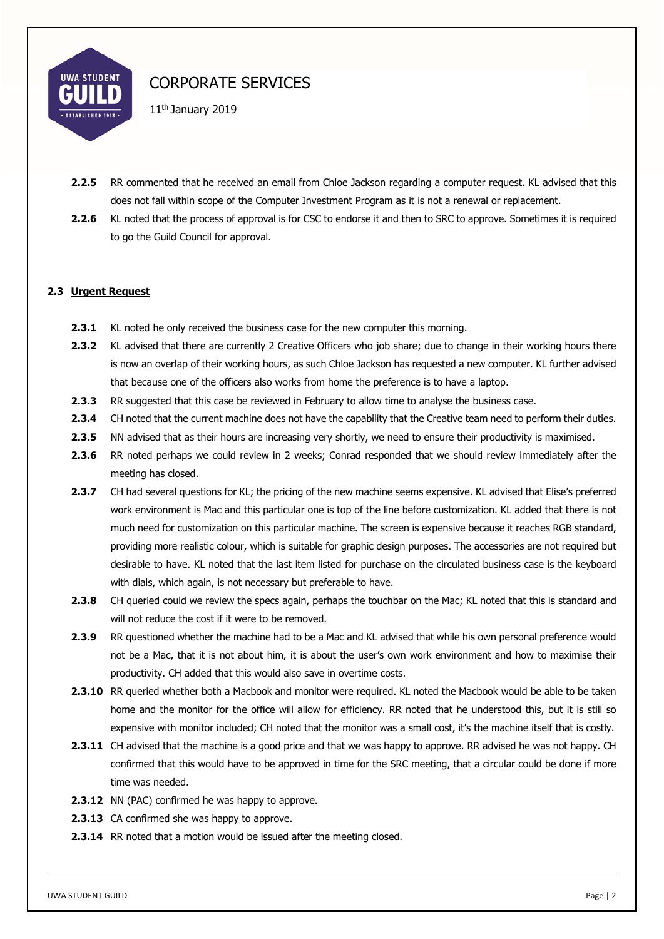

11<sup>th</sup> January 2019

- **2.2.5** RR commented that he received an email from Chloe Jackson regarding a computer request. KL advised that this does not fall within scope of the Computer Investment Program as it is not a renewal or replacement.
- **2.2.6** KL noted that the process of approval is for CSC to endorse it and then to SRC to approve. Sometimes it is required to go the Guild Council for approval.

# **2.3 Urgent Request**

- **2.3.1** KL noted he only received the business case for the new computer this morning.
- **2.3.2** KL advised that there are currently 2 Creative Officers who job share; due to change in their working hours there is now an overlap of their working hours, as such Chloe Jackson has requested a new computer. KL further advised that because one of the officers also works from home the preference is to have a laptop.
- **2.3.3** RR suggested that this case be reviewed in February to allow time to analyse the business case.
- **2.3.4** CH noted that the current machine does not have the capability that the Creative team need to perform their duties.
- **2.3.5** NN advised that as their hours are increasing very shortly, we need to ensure their productivity is maximised.
- **2.3.6** RR noted perhaps we could review in 2 weeks; Conrad responded that we should review immediately after the meeting has closed.
- **2.3.7** CH had several questions for KL; the pricing of the new machine seems expensive. KL advised that Elise's preferred work environment is Mac and this particular one is top of the line before customization. KL added that there is not much need for customization on this particular machine. The screen is expensive because it reaches RGB standard, providing more realistic colour, which is suitable for graphic design purposes. The accessories are not required but desirable to have. KL noted that the last item listed for purchase on the circulated business case is the keyboard with dials, which again, is not necessary but preferable to have.
- **2.3.8** CH queried could we review the specs again, perhaps the touchbar on the Mac; KL noted that this is standard and will not reduce the cost if it were to be removed.
- **2.3.9** RR questioned whether the machine had to be a Mac and KL advised that while his own personal preference would not be a Mac, that it is not about him, it is about the user's own work environment and how to maximise their productivity. CH added that this would also save in overtime costs.
- **2.3.10** RR queried whether both a Macbook and monitor were required. KL noted the Macbook would be able to be taken home and the monitor for the office will allow for efficiency. RR noted that he understood this, but it is still so expensive with monitor included; CH noted that the monitor was a small cost, it's the machine itself that is costly.
- **2.3.11** CH advised that the machine is a good price and that we was happy to approve. RR advised he was not happy. CH confirmed that this would have to be approved in time for the SRC meeting, that a circular could be done if more time was needed.
- **2.3.12** NN (PAC) confirmed he was happy to approve.
- **2.3.13** CA confirmed she was happy to approve.
- **2.3.14** RR noted that a motion would be issued after the meeting closed.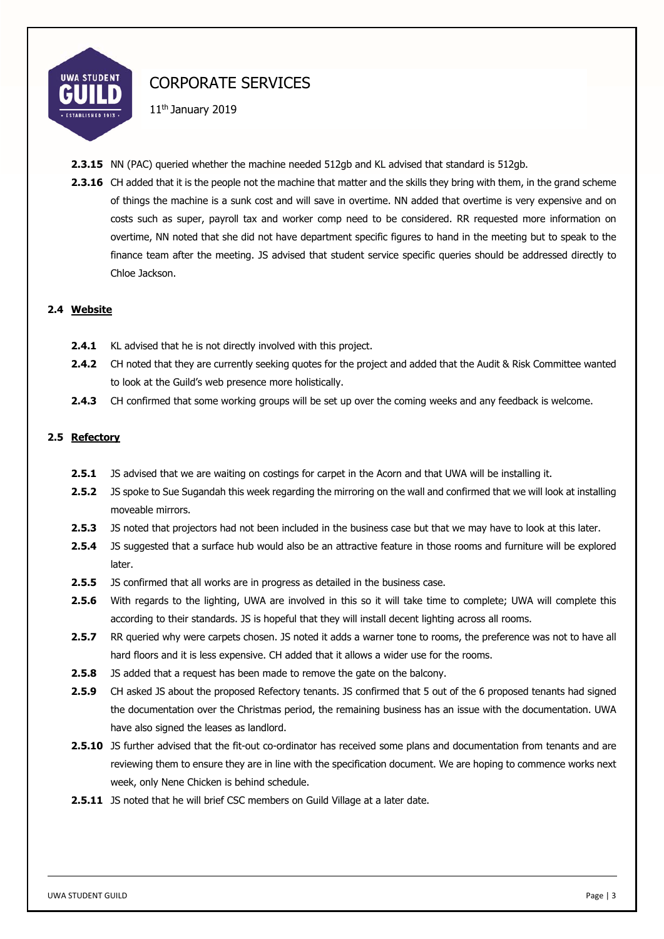

11th January 2019

- **2.3.15** NN (PAC) queried whether the machine needed 512gb and KL advised that standard is 512gb.
- **2.3.16** CH added that it is the people not the machine that matter and the skills they bring with them, in the grand scheme of things the machine is a sunk cost and will save in overtime. NN added that overtime is very expensive and on costs such as super, payroll tax and worker comp need to be considered. RR requested more information on overtime, NN noted that she did not have department specific figures to hand in the meeting but to speak to the finance team after the meeting. JS advised that student service specific queries should be addressed directly to Chloe Jackson.

### **2.4 Website**

- **2.4.1** KL advised that he is not directly involved with this project.
- **2.4.2** CH noted that they are currently seeking quotes for the project and added that the Audit & Risk Committee wanted to look at the Guild's web presence more holistically.
- **2.4.3** CH confirmed that some working groups will be set up over the coming weeks and any feedback is welcome.

### **2.5 Refectory**

- **2.5.1** JS advised that we are waiting on costings for carpet in the Acorn and that UWA will be installing it.
- **2.5.2** JS spoke to Sue Sugandah this week regarding the mirroring on the wall and confirmed that we will look at installing moveable mirrors.
- **2.5.3** JS noted that projectors had not been included in the business case but that we may have to look at this later.
- **2.5.4** JS suggested that a surface hub would also be an attractive feature in those rooms and furniture will be explored later.
- **2.5.5** JS confirmed that all works are in progress as detailed in the business case.
- **2.5.6** With regards to the lighting, UWA are involved in this so it will take time to complete; UWA will complete this according to their standards. JS is hopeful that they will install decent lighting across all rooms.
- **2.5.7** RR queried why were carpets chosen. JS noted it adds a warner tone to rooms, the preference was not to have all hard floors and it is less expensive. CH added that it allows a wider use for the rooms.
- **2.5.8** JS added that a request has been made to remove the gate on the balcony.
- **2.5.9** CH asked JS about the proposed Refectory tenants. JS confirmed that 5 out of the 6 proposed tenants had signed the documentation over the Christmas period, the remaining business has an issue with the documentation. UWA have also signed the leases as landlord.
- **2.5.10** JS further advised that the fit-out co-ordinator has received some plans and documentation from tenants and are reviewing them to ensure they are in line with the specification document. We are hoping to commence works next week, only Nene Chicken is behind schedule.
- **2.5.11** JS noted that he will brief CSC members on Guild Village at a later date.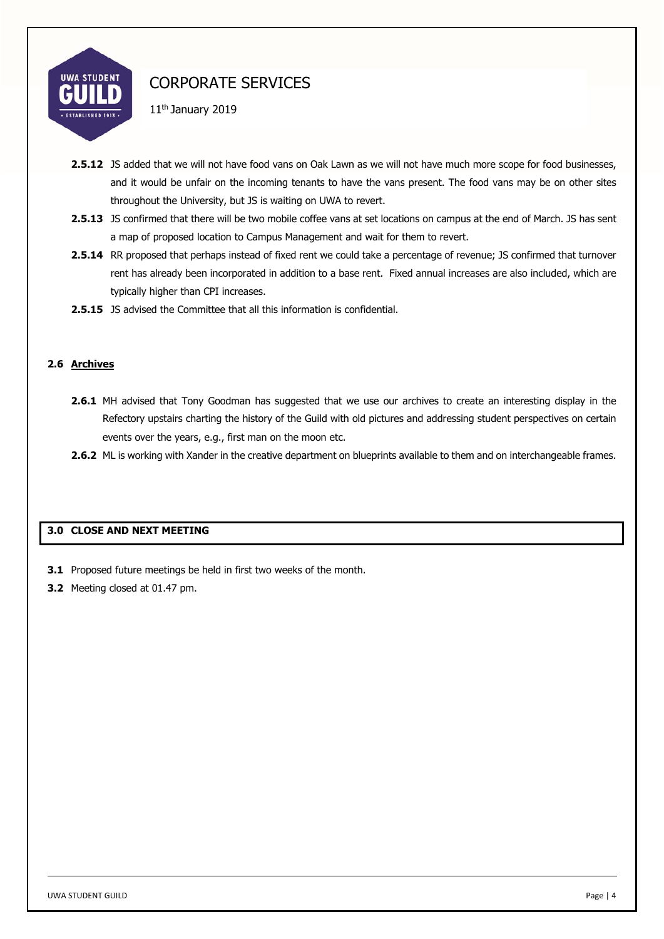

11th January 2019

- **2.5.12** JS added that we will not have food vans on Oak Lawn as we will not have much more scope for food businesses, and it would be unfair on the incoming tenants to have the vans present. The food vans may be on other sites throughout the University, but JS is waiting on UWA to revert.
- **2.5.13** JS confirmed that there will be two mobile coffee vans at set locations on campus at the end of March. JS has sent a map of proposed location to Campus Management and wait for them to revert.
- **2.5.14** RR proposed that perhaps instead of fixed rent we could take a percentage of revenue; JS confirmed that turnover rent has already been incorporated in addition to a base rent. Fixed annual increases are also included, which are typically higher than CPI increases.
- **2.5.15** JS advised the Committee that all this information is confidential.

## **2.6 Archives**

- **2.6.1** MH advised that Tony Goodman has suggested that we use our archives to create an interesting display in the Refectory upstairs charting the history of the Guild with old pictures and addressing student perspectives on certain events over the years, e.g., first man on the moon etc.
- **2.6.2** ML is working with Xander in the creative department on blueprints available to them and on interchangeable frames.

## **3.0 CLOSE AND NEXT MEETING**

- **3.1** Proposed future meetings be held in first two weeks of the month.
- **3.2** Meeting closed at 01.47 pm.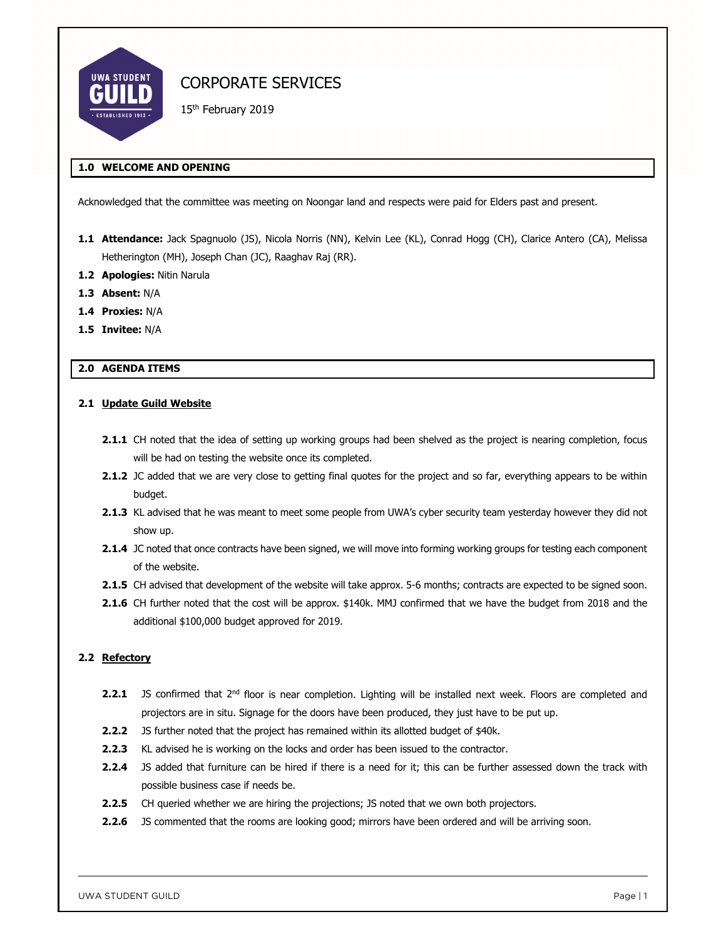

15<sup>th</sup> February 2019

## **1.0 WELCOME AND OPENING**

Acknowledged that the committee was meeting on Noongar land and respects were paid for Elders past and present.

- **1.1 Attendance:** Jack Spagnuolo (JS), Nicola Norris (NN), Kelvin Lee (KL), Conrad Hogg (CH), Clarice Antero (CA), Melissa Hetherington (MH), Joseph Chan (JC), Raaghav Raj (RR).
- **1.2 Apologies:** Nitin Narula
- **1.3 Absent:** N/A
- **1.4 Proxies:** N/A
- **1.5 Invitee:** N/A

#### **2.0 AGENDA ITEMS**

#### **2.1 Update Guild Website**

- 2.1.1 CH noted that the idea of setting up working groups had been shelved as the project is nearing completion, focus will be had on testing the website once its completed.
- **2.1.2** JC added that we are very close to getting final quotes for the project and so far, everything appears to be within budget.
- **2.1.3** KL advised that he was meant to meet some people from UWA's cyber security team yesterday however they did not show up.
- **2.1.4** JC noted that once contracts have been signed, we will move into forming working groups for testing each component of the website.
- **2.1.5** CH advised that development of the website will take approx. 5-6 months; contracts are expected to be signed soon.
- **2.1.6** CH further noted that the cost will be approx. \$140k. MMJ confirmed that we have the budget from 2018 and the additional \$100,000 budget approved for 2019.

#### **2.2 Refectory**

- **2.2.1** JS confirmed that 2<sup>nd</sup> floor is near completion. Lighting will be installed next week. Floors are completed and projectors are in situ. Signage for the doors have been produced, they just have to be put up.
- **2.2.2** JS further noted that the project has remained within its allotted budget of \$40k.
- **2.2.3** KL advised he is working on the locks and order has been issued to the contractor.
- **2.2.4** JS added that furniture can be hired if there is a need for it; this can be further assessed down the track with possible business case if needs be.
- **2.2.5** CH queried whether we are hiring the projections; JS noted that we own both projectors.
- **2.2.6** JS commented that the rooms are looking good; mirrors have been ordered and will be arriving soon.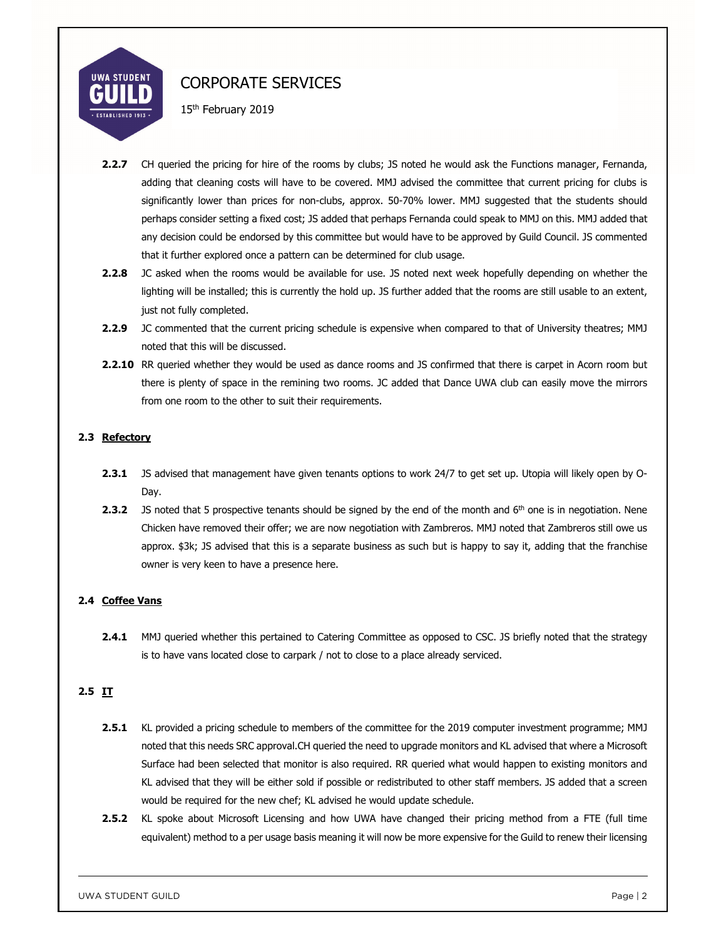

15<sup>th</sup> February 2019

- **2.2.7** CH queried the pricing for hire of the rooms by clubs; JS noted he would ask the Functions manager, Fernanda, adding that cleaning costs will have to be covered. MMJ advised the committee that current pricing for clubs is significantly lower than prices for non-clubs, approx. 50-70% lower. MMJ suggested that the students should perhaps consider setting a fixed cost; JS added that perhaps Fernanda could speak to MMJ on this. MMJ added that any decision could be endorsed by this committee but would have to be approved by Guild Council. JS commented that it further explored once a pattern can be determined for club usage.
- **2.2.8** JC asked when the rooms would be available for use. JS noted next week hopefully depending on whether the lighting will be installed; this is currently the hold up. JS further added that the rooms are still usable to an extent, just not fully completed.
- **2.2.9** JC commented that the current pricing schedule is expensive when compared to that of University theatres; MMJ noted that this will be discussed.
- **2.2.10** RR queried whether they would be used as dance rooms and JS confirmed that there is carpet in Acorn room but there is plenty of space in the remining two rooms. JC added that Dance UWA club can easily move the mirrors from one room to the other to suit their requirements.

## **2.3 Refectory**

- **2.3.1** JS advised that management have given tenants options to work 24/7 to get set up. Utopia will likely open by O-Day.
- **2.3.2** JS noted that 5 prospective tenants should be signed by the end of the month and 6<sup>th</sup> one is in negotiation. Nene Chicken have removed their offer; we are now negotiation with Zambreros. MMJ noted that Zambreros still owe us approx. \$3k; JS advised that this is a separate business as such but is happy to say it, adding that the franchise owner is very keen to have a presence here.

## **2.4 Coffee Vans**

**2.4.1** MMJ queried whether this pertained to Catering Committee as opposed to CSC. JS briefly noted that the strategy is to have vans located close to carpark / not to close to a place already serviced.

# **2.5 IT**

- **2.5.1** KL provided a pricing schedule to members of the committee for the 2019 computer investment programme; MMJ noted that this needs SRC approval.CH queried the need to upgrade monitors and KL advised that where a Microsoft Surface had been selected that monitor is also required. RR queried what would happen to existing monitors and KL advised that they will be either sold if possible or redistributed to other staff members. JS added that a screen would be required for the new chef; KL advised he would update schedule.
- **2.5.2** KL spoke about Microsoft Licensing and how UWA have changed their pricing method from a FTE (full time equivalent) method to a per usage basis meaning it will now be more expensive for the Guild to renew their licensing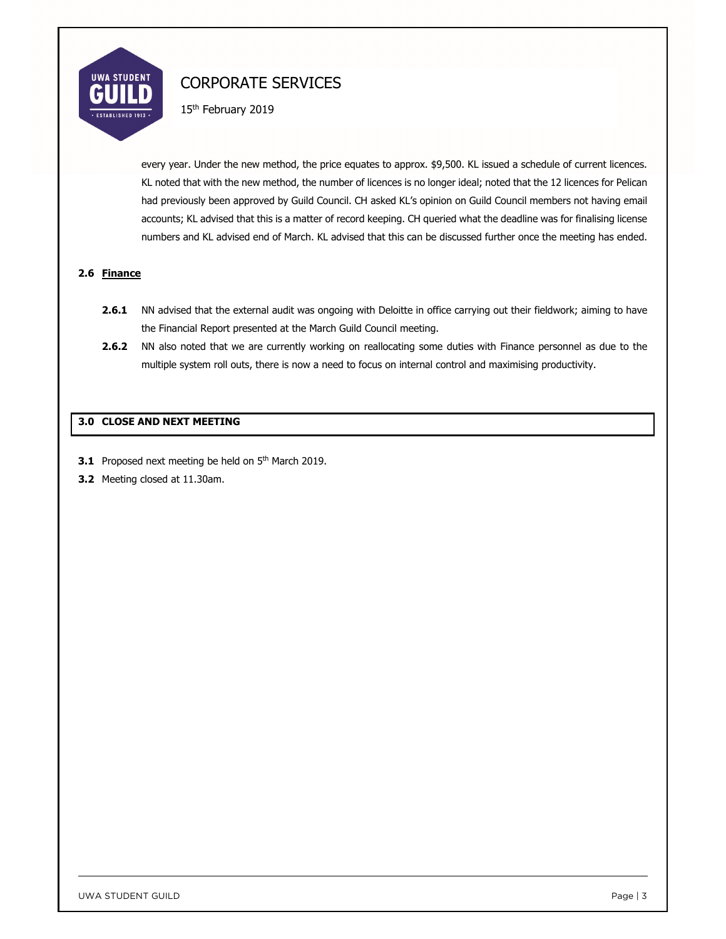

15<sup>th</sup> February 2019

every year. Under the new method, the price equates to approx. \$9,500. KL issued a schedule of current licences. KL noted that with the new method, the number of licences is no longer ideal; noted that the 12 licences for Pelican had previously been approved by Guild Council. CH asked KL's opinion on Guild Council members not having email accounts; KL advised that this is a matter of record keeping. CH queried what the deadline was for finalising license numbers and KL advised end of March. KL advised that this can be discussed further once the meeting has ended.

### **2.6 Finance**

- **2.6.1** NN advised that the external audit was ongoing with Deloitte in office carrying out their fieldwork; aiming to have the Financial Report presented at the March Guild Council meeting.
- **2.6.2** NN also noted that we are currently working on reallocating some duties with Finance personnel as due to the multiple system roll outs, there is now a need to focus on internal control and maximising productivity.

### **3.0 CLOSE AND NEXT MEETING**

- **3.1** Proposed next meeting be held on 5<sup>th</sup> March 2019.
- **3.2** Meeting closed at 11.30am.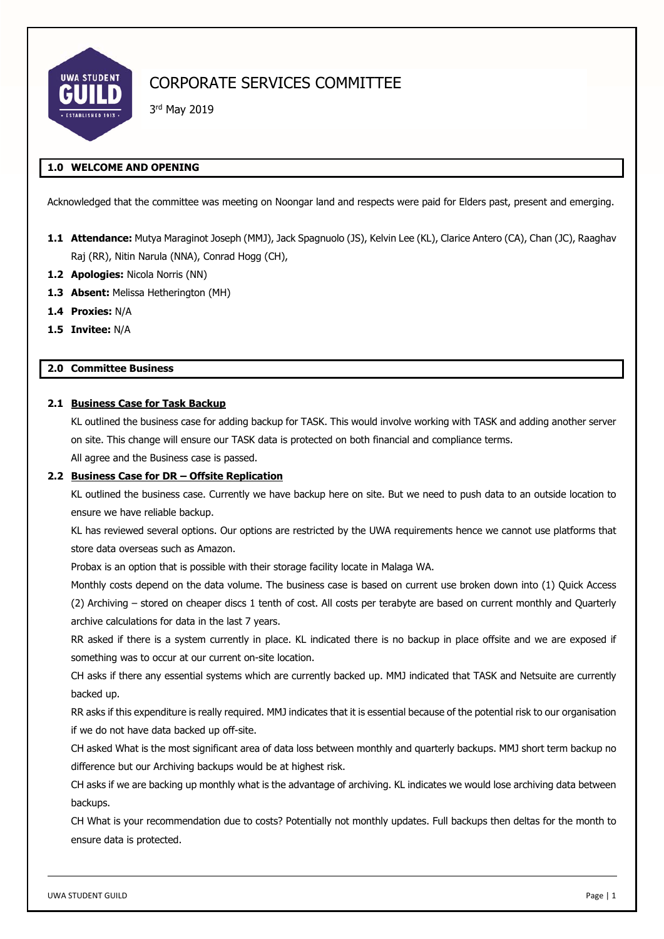

# CORPORATE SERVICES COMMITTEE

3rd May 2019

## **1.0 WELCOME AND OPENING**

Acknowledged that the committee was meeting on Noongar land and respects were paid for Elders past, present and emerging.

- **1.1 Attendance:** Mutya Maraginot Joseph (MMJ), Jack Spagnuolo (JS), Kelvin Lee (KL), Clarice Antero (CA), Chan (JC), Raaghav Raj (RR), Nitin Narula (NNA), Conrad Hogg (CH),
- **1.2 Apologies:** Nicola Norris (NN)
- **1.3 Absent:** Melissa Hetherington (MH)
- **1.4 Proxies:** N/A
- **1.5 Invitee:** N/A

## **2.0 Committee Business**

#### **2.1 Business Case for Task Backup**

KL outlined the business case for adding backup for TASK. This would involve working with TASK and adding another server on site. This change will ensure our TASK data is protected on both financial and compliance terms.

All agree and the Business case is passed.

#### **2.2 Business Case for DR – Offsite Replication**

KL outlined the business case. Currently we have backup here on site. But we need to push data to an outside location to ensure we have reliable backup.

KL has reviewed several options. Our options are restricted by the UWA requirements hence we cannot use platforms that store data overseas such as Amazon.

Probax is an option that is possible with their storage facility locate in Malaga WA.

Monthly costs depend on the data volume. The business case is based on current use broken down into (1) Quick Access (2) Archiving – stored on cheaper discs 1 tenth of cost. All costs per terabyte are based on current monthly and Quarterly archive calculations for data in the last 7 years.

RR asked if there is a system currently in place. KL indicated there is no backup in place offsite and we are exposed if something was to occur at our current on-site location.

CH asks if there any essential systems which are currently backed up. MMJ indicated that TASK and Netsuite are currently backed up.

RR asks if this expenditure is really required. MMJ indicates that it is essential because of the potential risk to our organisation if we do not have data backed up off-site.

CH asked What is the most significant area of data loss between monthly and quarterly backups. MMJ short term backup no difference but our Archiving backups would be at highest risk.

CH asks if we are backing up monthly what is the advantage of archiving. KL indicates we would lose archiving data between backups.

CH What is your recommendation due to costs? Potentially not monthly updates. Full backups then deltas for the month to ensure data is protected.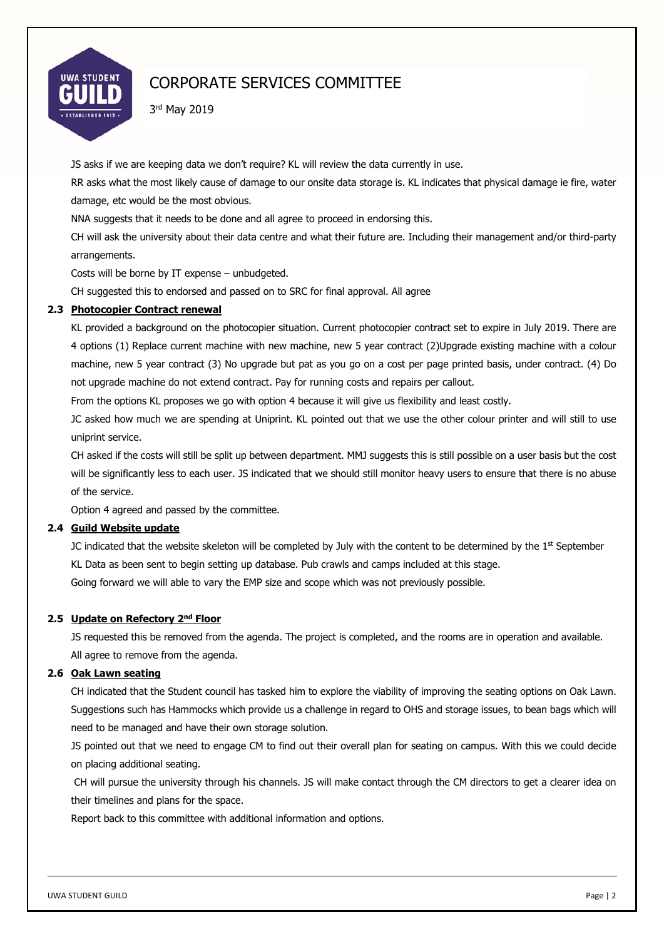

# CORPORATE SERVICES COMMITTEE

3rd May 2019

JS asks if we are keeping data we don't require? KL will review the data currently in use.

RR asks what the most likely cause of damage to our onsite data storage is. KL indicates that physical damage ie fire, water damage, etc would be the most obvious.

NNA suggests that it needs to be done and all agree to proceed in endorsing this.

CH will ask the university about their data centre and what their future are. Including their management and/or third-party arrangements.

Costs will be borne by IT expense – unbudgeted.

CH suggested this to endorsed and passed on to SRC for final approval. All agree

## **2.3 Photocopier Contract renewal**

KL provided a background on the photocopier situation. Current photocopier contract set to expire in July 2019. There are 4 options (1) Replace current machine with new machine, new 5 year contract (2)Upgrade existing machine with a colour machine, new 5 year contract (3) No upgrade but pat as you go on a cost per page printed basis, under contract. (4) Do not upgrade machine do not extend contract. Pay for running costs and repairs per callout.

From the options KL proposes we go with option 4 because it will give us flexibility and least costly.

JC asked how much we are spending at Uniprint. KL pointed out that we use the other colour printer and will still to use uniprint service.

CH asked if the costs will still be split up between department. MMJ suggests this is still possible on a user basis but the cost will be significantly less to each user. JS indicated that we should still monitor heavy users to ensure that there is no abuse of the service.

Option 4 agreed and passed by the committee.

## **2.4 Guild Website update**

JC indicated that the website skeleton will be completed by July with the content to be determined by the  $1<sup>st</sup>$  September KL Data as been sent to begin setting up database. Pub crawls and camps included at this stage. Going forward we will able to vary the EMP size and scope which was not previously possible.

## **2.5 Update on Refectory 2nd Floor**

JS requested this be removed from the agenda. The project is completed, and the rooms are in operation and available. All agree to remove from the agenda.

#### **2.6 Oak Lawn seating**

CH indicated that the Student council has tasked him to explore the viability of improving the seating options on Oak Lawn. Suggestions such has Hammocks which provide us a challenge in regard to OHS and storage issues, to bean bags which will need to be managed and have their own storage solution.

JS pointed out that we need to engage CM to find out their overall plan for seating on campus. With this we could decide on placing additional seating.

 CH will pursue the university through his channels. JS will make contact through the CM directors to get a clearer idea on their timelines and plans for the space.

Report back to this committee with additional information and options.